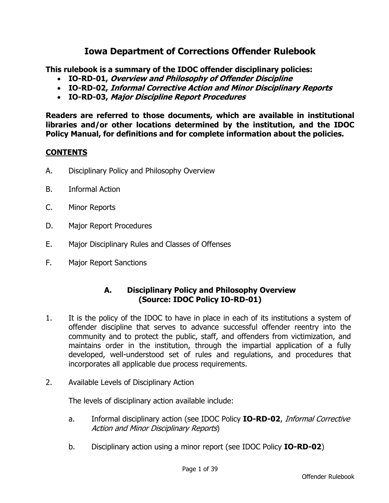# **Iowa Department of Corrections Offender Rulebook**

**This rulebook is a summary of the IDOC offender disciplinary policies:**

- **IO-RD-01, Overview and Philosophy of Offender Discipline**
- **IO-RD-02, Informal Corrective Action and Minor Disciplinary Reports**
- **IO-RD-03, Major Discipline Report Procedures**

**Readers are referred to those documents, which are available in institutional libraries and/or other locations determined by the institution, and the IDOC Policy Manual, for definitions and for complete information about the policies.**

#### **CONTENTS**

- A. Disciplinary Policy and Philosophy Overview
- B. Informal Action
- C. Minor Reports
- D. Major Report Procedures
- E. Major Disciplinary Rules and Classes of Offenses
- F. Major Report Sanctions

#### **A. Disciplinary Policy and Philosophy Overview (Source: IDOC Policy IO-RD-01)**

- 1. It is the policy of the IDOC to have in place in each of its institutions a system of offender discipline that serves to advance successful offender reentry into the community and to protect the public, staff, and offenders from victimization, and maintains order in the institution, through the impartial application of a fully developed, well-understood set of rules and regulations, and procedures that incorporates all applicable due process requirements.
- 2. Available Levels of Disciplinary Action

The levels of disciplinary action available include:

- a. Informal disciplinary action (see IDOC Policy **IO-RD-02**, Informal Corrective Action and Minor Disciplinary Reports)
- b. Disciplinary action using a minor report (see IDOC Policy **IO-RD-02**)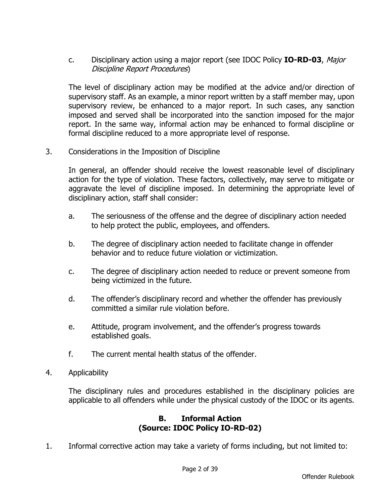c. Disciplinary action using a major report (see IDOC Policy **IO-RD-03**, Major Discipline Report Procedures)

The level of disciplinary action may be modified at the advice and/or direction of supervisory staff. As an example, a minor report written by a staff member may, upon supervisory review, be enhanced to a major report. In such cases, any sanction imposed and served shall be incorporated into the sanction imposed for the major report. In the same way, informal action may be enhanced to formal discipline or formal discipline reduced to a more appropriate level of response.

3. Considerations in the Imposition of Discipline

In general, an offender should receive the lowest reasonable level of disciplinary action for the type of violation. These factors, collectively, may serve to mitigate or aggravate the level of discipline imposed. In determining the appropriate level of disciplinary action, staff shall consider:

- a. The seriousness of the offense and the degree of disciplinary action needed to help protect the public, employees, and offenders.
- b. The degree of disciplinary action needed to facilitate change in offender behavior and to reduce future violation or victimization.
- c. The degree of disciplinary action needed to reduce or prevent someone from being victimized in the future.
- d. The offender's disciplinary record and whether the offender has previously committed a similar rule violation before.
- e. Attitude, program involvement, and the offender's progress towards established goals.
- f. The current mental health status of the offender.
- 4. Applicability

The disciplinary rules and procedures established in the disciplinary policies are applicable to all offenders while under the physical custody of the IDOC or its agents.

#### **B. Informal Action (Source: IDOC Policy IO-RD-02)**

1. Informal corrective action may take a variety of forms including, but not limited to: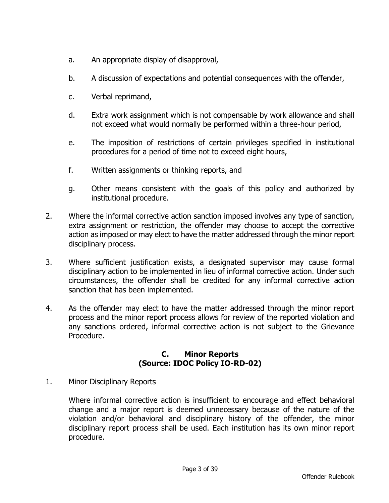- a. An appropriate display of disapproval,
- b. A discussion of expectations and potential consequences with the offender,
- c. Verbal reprimand,
- d. Extra work assignment which is not compensable by work allowance and shall not exceed what would normally be performed within a three-hour period,
- e. The imposition of restrictions of certain privileges specified in institutional procedures for a period of time not to exceed eight hours,
- f. Written assignments or thinking reports, and
- g. Other means consistent with the goals of this policy and authorized by institutional procedure.
- 2. Where the informal corrective action sanction imposed involves any type of sanction, extra assignment or restriction, the offender may choose to accept the corrective action as imposed or may elect to have the matter addressed through the minor report disciplinary process.
- 3. Where sufficient justification exists, a designated supervisor may cause formal disciplinary action to be implemented in lieu of informal corrective action. Under such circumstances, the offender shall be credited for any informal corrective action sanction that has been implemented.
- 4. As the offender may elect to have the matter addressed through the minor report process and the minor report process allows for review of the reported violation and any sanctions ordered, informal corrective action is not subject to the Grievance Procedure.

#### **C. Minor Reports (Source: IDOC Policy IO-RD-02)**

1. Minor Disciplinary Reports

Where informal corrective action is insufficient to encourage and effect behavioral change and a major report is deemed unnecessary because of the nature of the violation and/or behavioral and disciplinary history of the offender, the minor disciplinary report process shall be used. Each institution has its own minor report procedure.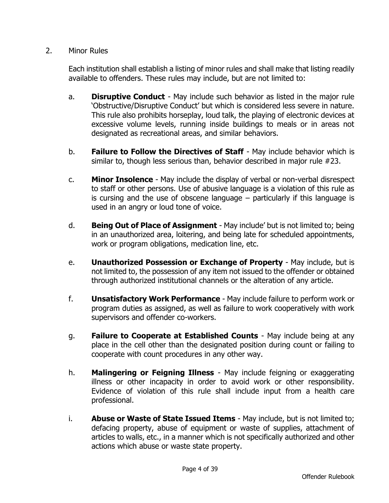#### 2. Minor Rules

Each institution shall establish a listing of minor rules and shall make that listing readily available to offenders. These rules may include, but are not limited to:

- a. **Disruptive Conduct** May include such behavior as listed in the major rule 'Obstructive/Disruptive Conduct' but which is considered less severe in nature. This rule also prohibits horseplay, loud talk, the playing of electronic devices at excessive volume levels, running inside buildings to meals or in areas not designated as recreational areas, and similar behaviors.
- b. **Failure to Follow the Directives of Staff** May include behavior which is similar to, though less serious than, behavior described in major rule #23.
- c. **Minor Insolence** May include the display of verbal or non-verbal disrespect to staff or other persons. Use of abusive language is a violation of this rule as is cursing and the use of obscene language – particularly if this language is used in an angry or loud tone of voice.
- d. **Being Out of Place of Assignment** May include' but is not limited to; being in an unauthorized area, loitering, and being late for scheduled appointments, work or program obligations, medication line, etc.
- e. **Unauthorized Possession or Exchange of Property** May include, but is not limited to, the possession of any item not issued to the offender or obtained through authorized institutional channels or the alteration of any article.
- f. **Unsatisfactory Work Performance** May include failure to perform work or program duties as assigned, as well as failure to work cooperatively with work supervisors and offender co-workers.
- g. **Failure to Cooperate at Established Counts** May include being at any place in the cell other than the designated position during count or failing to cooperate with count procedures in any other way.
- h. **Malingering or Feigning Illness** May include feigning or exaggerating illness or other incapacity in order to avoid work or other responsibility. Evidence of violation of this rule shall include input from a health care professional.
- i. **Abuse or Waste of State Issued Items** May include, but is not limited to; defacing property, abuse of equipment or waste of supplies, attachment of articles to walls, etc., in a manner which is not specifically authorized and other actions which abuse or waste state property.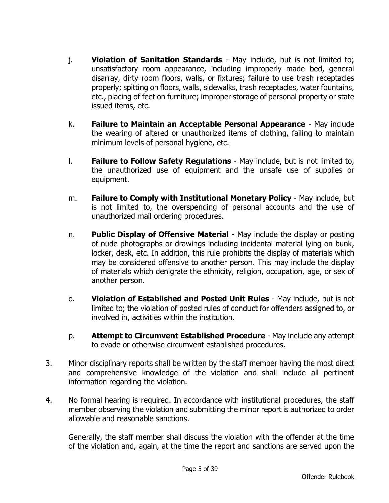- j. **Violation of Sanitation Standards** May include, but is not limited to; unsatisfactory room appearance, including improperly made bed, general disarray, dirty room floors, walls, or fixtures; failure to use trash receptacles properly; spitting on floors, walls, sidewalks, trash receptacles, water fountains, etc., placing of feet on furniture; improper storage of personal property or state issued items, etc.
- k. **Failure to Maintain an Acceptable Personal Appearance** May include the wearing of altered or unauthorized items of clothing, failing to maintain minimum levels of personal hygiene, etc.
- l. **Failure to Follow Safety Regulations** May include, but is not limited to, the unauthorized use of equipment and the unsafe use of supplies or equipment.
- m. **Failure to Comply with Institutional Monetary Policy** May include, but is not limited to, the overspending of personal accounts and the use of unauthorized mail ordering procedures.
- n. **Public Display of Offensive Material** May include the display or posting of nude photographs or drawings including incidental material lying on bunk, locker, desk, etc. In addition, this rule prohibits the display of materials which may be considered offensive to another person. This may include the display of materials which denigrate the ethnicity, religion, occupation, age, or sex of another person.
- o. **Violation of Established and Posted Unit Rules** May include, but is not limited to; the violation of posted rules of conduct for offenders assigned to, or involved in, activities within the institution.
- p. **Attempt to Circumvent Established Procedure** May include any attempt to evade or otherwise circumvent established procedures.
- 3. Minor disciplinary reports shall be written by the staff member having the most direct and comprehensive knowledge of the violation and shall include all pertinent information regarding the violation.
- 4. No formal hearing is required. In accordance with institutional procedures, the staff member observing the violation and submitting the minor report is authorized to order allowable and reasonable sanctions.

Generally, the staff member shall discuss the violation with the offender at the time of the violation and, again, at the time the report and sanctions are served upon the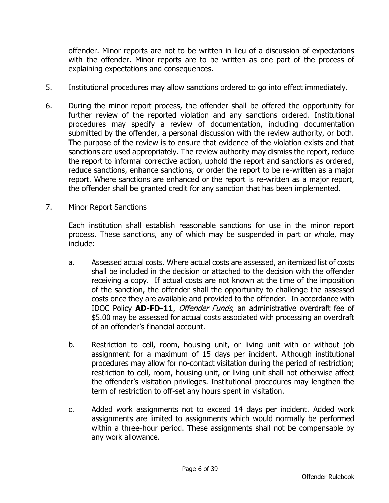offender. Minor reports are not to be written in lieu of a discussion of expectations with the offender. Minor reports are to be written as one part of the process of explaining expectations and consequences.

- 5. Institutional procedures may allow sanctions ordered to go into effect immediately.
- 6. During the minor report process, the offender shall be offered the opportunity for further review of the reported violation and any sanctions ordered. Institutional procedures may specify a review of documentation, including documentation submitted by the offender, a personal discussion with the review authority, or both. The purpose of the review is to ensure that evidence of the violation exists and that sanctions are used appropriately. The review authority may dismiss the report, reduce the report to informal corrective action, uphold the report and sanctions as ordered, reduce sanctions, enhance sanctions, or order the report to be re-written as a major report. Where sanctions are enhanced or the report is re-written as a major report, the offender shall be granted credit for any sanction that has been implemented.
- 7. Minor Report Sanctions

Each institution shall establish reasonable sanctions for use in the minor report process. These sanctions, any of which may be suspended in part or whole, may include:

- a. Assessed actual costs. Where actual costs are assessed, an itemized list of costs shall be included in the decision or attached to the decision with the offender receiving a copy. If actual costs are not known at the time of the imposition of the sanction, the offender shall the opportunity to challenge the assessed costs once they are available and provided to the offender. In accordance with IDOC Policy **AD-FD-11**, Offender Funds, an administrative overdraft fee of \$5.00 may be assessed for actual costs associated with processing an overdraft of an offender's financial account.
- b. Restriction to cell, room, housing unit, or living unit with or without job assignment for a maximum of 15 days per incident. Although institutional procedures may allow for no-contact visitation during the period of restriction; restriction to cell, room, housing unit, or living unit shall not otherwise affect the offender's visitation privileges. Institutional procedures may lengthen the term of restriction to off-set any hours spent in visitation.
- c. Added work assignments not to exceed 14 days per incident. Added work assignments are limited to assignments which would normally be performed within a three-hour period. These assignments shall not be compensable by any work allowance.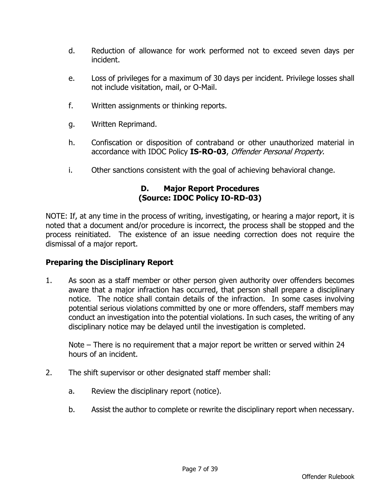- d. Reduction of allowance for work performed not to exceed seven days per incident.
- e. Loss of privileges for a maximum of 30 days per incident. Privilege losses shall not include visitation, mail, or O-Mail.
- f. Written assignments or thinking reports.
- g. Written Reprimand.
- h. Confiscation or disposition of contraband or other unauthorized material in accordance with IDOC Policy **IS-RO-03**, Offender Personal Property.
- i. Other sanctions consistent with the goal of achieving behavioral change.

## **D. Major Report Procedures (Source: IDOC Policy IO-RD-03)**

NOTE: If, at any time in the process of writing, investigating, or hearing a major report, it is noted that a document and/or procedure is incorrect, the process shall be stopped and the process reinitiated. The existence of an issue needing correction does not require the dismissal of a major report.

# **Preparing the Disciplinary Report**

1. As soon as a staff member or other person given authority over offenders becomes aware that a major infraction has occurred, that person shall prepare a disciplinary notice. The notice shall contain details of the infraction. In some cases involving potential serious violations committed by one or more offenders, staff members may conduct an investigation into the potential violations. In such cases, the writing of any disciplinary notice may be delayed until the investigation is completed.

Note – There is no requirement that a major report be written or served within 24 hours of an incident.

- 2. The shift supervisor or other designated staff member shall:
	- a. Review the disciplinary report (notice).
	- b. Assist the author to complete or rewrite the disciplinary report when necessary.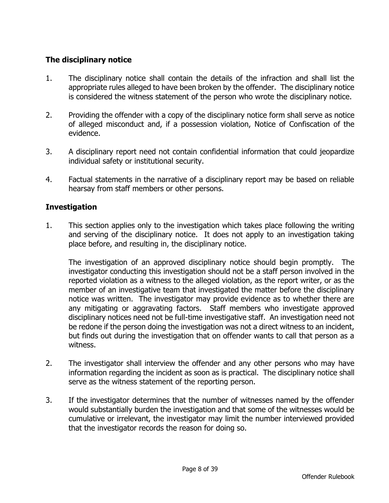# **The disciplinary notice**

- 1. The disciplinary notice shall contain the details of the infraction and shall list the appropriate rules alleged to have been broken by the offender. The disciplinary notice is considered the witness statement of the person who wrote the disciplinary notice.
- 2. Providing the offender with a copy of the disciplinary notice form shall serve as notice of alleged misconduct and, if a possession violation, Notice of Confiscation of the evidence.
- 3. A disciplinary report need not contain confidential information that could jeopardize individual safety or institutional security.
- 4. Factual statements in the narrative of a disciplinary report may be based on reliable hearsay from staff members or other persons.

# **Investigation**

1. This section applies only to the investigation which takes place following the writing and serving of the disciplinary notice. It does not apply to an investigation taking place before, and resulting in, the disciplinary notice.

The investigation of an approved disciplinary notice should begin promptly. The investigator conducting this investigation should not be a staff person involved in the reported violation as a witness to the alleged violation, as the report writer, or as the member of an investigative team that investigated the matter before the disciplinary notice was written. The investigator may provide evidence as to whether there are any mitigating or aggravating factors. Staff members who investigate approved disciplinary notices need not be full-time investigative staff. An investigation need not be redone if the person doing the investigation was not a direct witness to an incident, but finds out during the investigation that on offender wants to call that person as a witness.

- 2. The investigator shall interview the offender and any other persons who may have information regarding the incident as soon as is practical. The disciplinary notice shall serve as the witness statement of the reporting person.
- 3. If the investigator determines that the number of witnesses named by the offender would substantially burden the investigation and that some of the witnesses would be cumulative or irrelevant, the investigator may limit the number interviewed provided that the investigator records the reason for doing so.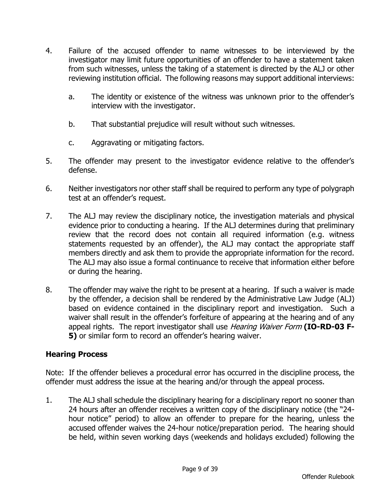- 4. Failure of the accused offender to name witnesses to be interviewed by the investigator may limit future opportunities of an offender to have a statement taken from such witnesses, unless the taking of a statement is directed by the ALJ or other reviewing institution official. The following reasons may support additional interviews:
	- a. The identity or existence of the witness was unknown prior to the offender's interview with the investigator.
	- b. That substantial prejudice will result without such witnesses.
	- c. Aggravating or mitigating factors.
- 5. The offender may present to the investigator evidence relative to the offender's defense.
- 6. Neither investigators nor other staff shall be required to perform any type of polygraph test at an offender's request.
- 7. The ALJ may review the disciplinary notice, the investigation materials and physical evidence prior to conducting a hearing. If the ALJ determines during that preliminary review that the record does not contain all required information (e.g. witness statements requested by an offender), the ALJ may contact the appropriate staff members directly and ask them to provide the appropriate information for the record. The ALJ may also issue a formal continuance to receive that information either before or during the hearing.
- 8. The offender may waive the right to be present at a hearing. If such a waiver is made by the offender, a decision shall be rendered by the Administrative Law Judge (ALJ) based on evidence contained in the disciplinary report and investigation. Such a waiver shall result in the offender's forfeiture of appearing at the hearing and of any appeal rights. The report investigator shall use Hearing Waiver Form **(IO-RD-03 F-5)** or similar form to record an offender's hearing waiver.

# **Hearing Process**

Note: If the offender believes a procedural error has occurred in the discipline process, the offender must address the issue at the hearing and/or through the appeal process.

1. The ALJ shall schedule the disciplinary hearing for a disciplinary report no sooner than 24 hours after an offender receives a written copy of the disciplinary notice (the "24 hour notice" period) to allow an offender to prepare for the hearing, unless the accused offender waives the 24-hour notice/preparation period. The hearing should be held, within seven working days (weekends and holidays excluded) following the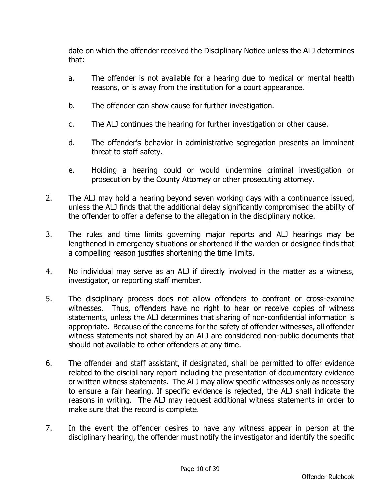date on which the offender received the Disciplinary Notice unless the ALJ determines that:

- a. The offender is not available for a hearing due to medical or mental health reasons, or is away from the institution for a court appearance.
- b. The offender can show cause for further investigation.
- c. The ALJ continues the hearing for further investigation or other cause.
- d. The offender's behavior in administrative segregation presents an imminent threat to staff safety.
- e. Holding a hearing could or would undermine criminal investigation or prosecution by the County Attorney or other prosecuting attorney.
- 2. The ALJ may hold a hearing beyond seven working days with a continuance issued, unless the ALJ finds that the additional delay significantly compromised the ability of the offender to offer a defense to the allegation in the disciplinary notice.
- 3. The rules and time limits governing major reports and ALJ hearings may be lengthened in emergency situations or shortened if the warden or designee finds that a compelling reason justifies shortening the time limits.
- 4. No individual may serve as an ALJ if directly involved in the matter as a witness, investigator, or reporting staff member.
- 5. The disciplinary process does not allow offenders to confront or cross-examine witnesses. Thus, offenders have no right to hear or receive copies of witness statements, unless the ALJ determines that sharing of non-confidential information is appropriate. Because of the concerns for the safety of offender witnesses, all offender witness statements not shared by an ALJ are considered non-public documents that should not available to other offenders at any time.
- 6. The offender and staff assistant, if designated, shall be permitted to offer evidence related to the disciplinary report including the presentation of documentary evidence or written witness statements. The ALJ may allow specific witnesses only as necessary to ensure a fair hearing. If specific evidence is rejected, the ALJ shall indicate the reasons in writing. The ALJ may request additional witness statements in order to make sure that the record is complete.
- 7. In the event the offender desires to have any witness appear in person at the disciplinary hearing, the offender must notify the investigator and identify the specific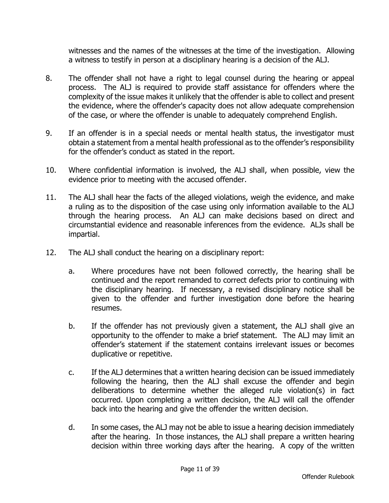witnesses and the names of the witnesses at the time of the investigation. Allowing a witness to testify in person at a disciplinary hearing is a decision of the ALJ.

- 8. The offender shall not have a right to legal counsel during the hearing or appeal process. The ALJ is required to provide staff assistance for offenders where the complexity of the issue makes it unlikely that the offender is able to collect and present the evidence, where the offender's capacity does not allow adequate comprehension of the case, or where the offender is unable to adequately comprehend English.
- 9. If an offender is in a special needs or mental health status, the investigator must obtain a statement from a mental health professional as to the offender's responsibility for the offender's conduct as stated in the report.
- 10. Where confidential information is involved, the ALJ shall, when possible, view the evidence prior to meeting with the accused offender.
- 11. The ALJ shall hear the facts of the alleged violations, weigh the evidence, and make a ruling as to the disposition of the case using only information available to the ALJ through the hearing process. An ALJ can make decisions based on direct and circumstantial evidence and reasonable inferences from the evidence. ALJs shall be impartial.
- 12. The ALJ shall conduct the hearing on a disciplinary report:
	- a. Where procedures have not been followed correctly, the hearing shall be continued and the report remanded to correct defects prior to continuing with the disciplinary hearing. If necessary, a revised disciplinary notice shall be given to the offender and further investigation done before the hearing resumes.
	- b. If the offender has not previously given a statement, the ALJ shall give an opportunity to the offender to make a brief statement. The ALJ may limit an offender's statement if the statement contains irrelevant issues or becomes duplicative or repetitive.
	- c. If the ALJ determines that a written hearing decision can be issued immediately following the hearing, then the ALJ shall excuse the offender and begin deliberations to determine whether the alleged rule violation(s) in fact occurred. Upon completing a written decision, the ALJ will call the offender back into the hearing and give the offender the written decision.
	- d. In some cases, the ALJ may not be able to issue a hearing decision immediately after the hearing. In those instances, the ALJ shall prepare a written hearing decision within three working days after the hearing. A copy of the written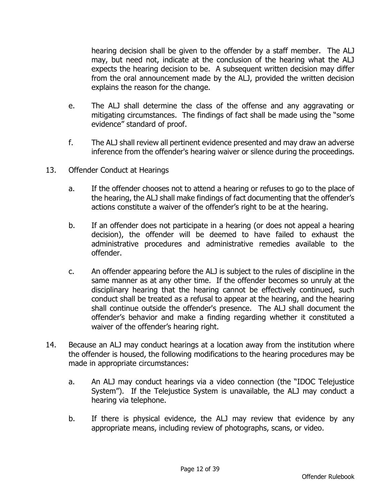hearing decision shall be given to the offender by a staff member. The ALJ may, but need not, indicate at the conclusion of the hearing what the ALJ expects the hearing decision to be. A subsequent written decision may differ from the oral announcement made by the ALJ, provided the written decision explains the reason for the change.

- e. The ALJ shall determine the class of the offense and any aggravating or mitigating circumstances. The findings of fact shall be made using the "some evidence" standard of proof.
- f. The ALJ shall review all pertinent evidence presented and may draw an adverse inference from the offender's hearing waiver or silence during the proceedings.
- 13. Offender Conduct at Hearings
	- a. If the offender chooses not to attend a hearing or refuses to go to the place of the hearing, the ALJ shall make findings of fact documenting that the offender's actions constitute a waiver of the offender's right to be at the hearing.
	- b. If an offender does not participate in a hearing (or does not appeal a hearing decision), the offender will be deemed to have failed to exhaust the administrative procedures and administrative remedies available to the offender.
	- c. An offender appearing before the ALJ is subject to the rules of discipline in the same manner as at any other time. If the offender becomes so unruly at the disciplinary hearing that the hearing cannot be effectively continued, such conduct shall be treated as a refusal to appear at the hearing, and the hearing shall continue outside the offender's presence. The ALJ shall document the offender's behavior and make a finding regarding whether it constituted a waiver of the offender's hearing right.
- 14. Because an ALJ may conduct hearings at a location away from the institution where the offender is housed, the following modifications to the hearing procedures may be made in appropriate circumstances:
	- a. An ALJ may conduct hearings via a video connection (the "IDOC Telejustice System"). If the Telejustice System is unavailable, the ALJ may conduct a hearing via telephone.
	- b. If there is physical evidence, the ALJ may review that evidence by any appropriate means, including review of photographs, scans, or video.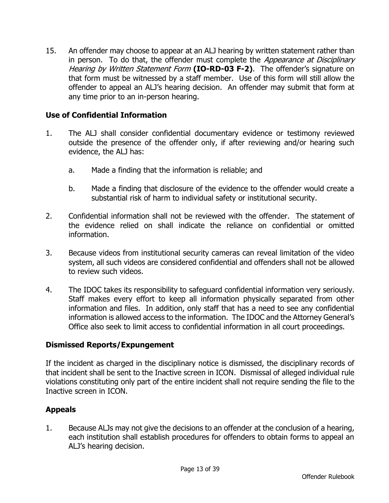15. An offender may choose to appear at an ALJ hearing by written statement rather than in person. To do that, the offender must complete the *Appearance at Disciplinary* Hearing by Written Statement Form **(IO-RD-03 F-2)**. The offender's signature on that form must be witnessed by a staff member. Use of this form will still allow the offender to appeal an ALJ's hearing decision. An offender may submit that form at any time prior to an in-person hearing.

# **Use of Confidential Information**

- 1. The ALJ shall consider confidential documentary evidence or testimony reviewed outside the presence of the offender only, if after reviewing and/or hearing such evidence, the ALJ has:
	- a. Made a finding that the information is reliable; and
	- b. Made a finding that disclosure of the evidence to the offender would create a substantial risk of harm to individual safety or institutional security.
- 2. Confidential information shall not be reviewed with the offender. The statement of the evidence relied on shall indicate the reliance on confidential or omitted information.
- 3. Because videos from institutional security cameras can reveal limitation of the video system, all such videos are considered confidential and offenders shall not be allowed to review such videos.
- 4. The IDOC takes its responsibility to safeguard confidential information very seriously. Staff makes every effort to keep all information physically separated from other information and files. In addition, only staff that has a need to see any confidential information is allowed access to the information. The IDOC and the Attorney General's Office also seek to limit access to confidential information in all court proceedings.

#### **Dismissed Reports/Expungement**

If the incident as charged in the disciplinary notice is dismissed, the disciplinary records of that incident shall be sent to the Inactive screen in ICON. Dismissal of alleged individual rule violations constituting only part of the entire incident shall not require sending the file to the Inactive screen in ICON.

#### **Appeals**

1. Because ALJs may not give the decisions to an offender at the conclusion of a hearing, each institution shall establish procedures for offenders to obtain forms to appeal an ALJ's hearing decision.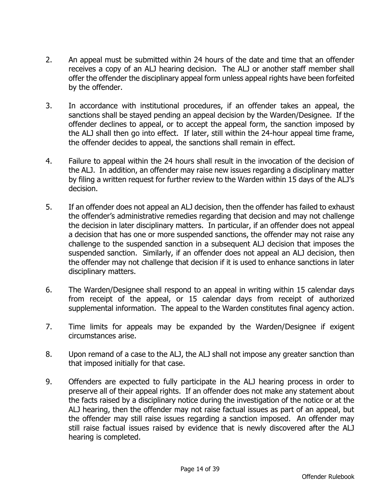- 2. An appeal must be submitted within 24 hours of the date and time that an offender receives a copy of an ALJ hearing decision. The ALJ or another staff member shall offer the offender the disciplinary appeal form unless appeal rights have been forfeited by the offender.
- 3. In accordance with institutional procedures, if an offender takes an appeal, the sanctions shall be stayed pending an appeal decision by the Warden/Designee. If the offender declines to appeal, or to accept the appeal form, the sanction imposed by the ALJ shall then go into effect. If later, still within the 24-hour appeal time frame, the offender decides to appeal, the sanctions shall remain in effect.
- 4. Failure to appeal within the 24 hours shall result in the invocation of the decision of the ALJ. In addition, an offender may raise new issues regarding a disciplinary matter by filing a written request for further review to the Warden within 15 days of the ALJ's decision.
- 5. If an offender does not appeal an ALJ decision, then the offender has failed to exhaust the offender's administrative remedies regarding that decision and may not challenge the decision in later disciplinary matters. In particular, if an offender does not appeal a decision that has one or more suspended sanctions, the offender may not raise any challenge to the suspended sanction in a subsequent ALJ decision that imposes the suspended sanction. Similarly, if an offender does not appeal an ALJ decision, then the offender may not challenge that decision if it is used to enhance sanctions in later disciplinary matters.
- 6. The Warden/Designee shall respond to an appeal in writing within 15 calendar days from receipt of the appeal, or 15 calendar days from receipt of authorized supplemental information. The appeal to the Warden constitutes final agency action.
- 7. Time limits for appeals may be expanded by the Warden/Designee if exigent circumstances arise.
- 8. Upon remand of a case to the ALJ, the ALJ shall not impose any greater sanction than that imposed initially for that case.
- 9. Offenders are expected to fully participate in the ALJ hearing process in order to preserve all of their appeal rights. If an offender does not make any statement about the facts raised by a disciplinary notice during the investigation of the notice or at the ALJ hearing, then the offender may not raise factual issues as part of an appeal, but the offender may still raise issues regarding a sanction imposed. An offender may still raise factual issues raised by evidence that is newly discovered after the ALJ hearing is completed.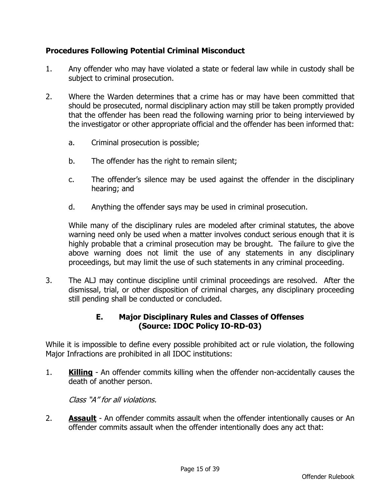# **Procedures Following Potential Criminal Misconduct**

- 1. Any offender who may have violated a state or federal law while in custody shall be subject to criminal prosecution.
- 2. Where the Warden determines that a crime has or may have been committed that should be prosecuted, normal disciplinary action may still be taken promptly provided that the offender has been read the following warning prior to being interviewed by the investigator or other appropriate official and the offender has been informed that:
	- a. Criminal prosecution is possible;
	- b. The offender has the right to remain silent;
	- c. The offender's silence may be used against the offender in the disciplinary hearing; and
	- d. Anything the offender says may be used in criminal prosecution.

While many of the disciplinary rules are modeled after criminal statutes, the above warning need only be used when a matter involves conduct serious enough that it is highly probable that a criminal prosecution may be brought. The failure to give the above warning does not limit the use of any statements in any disciplinary proceedings, but may limit the use of such statements in any criminal proceeding.

3. The ALJ may continue discipline until criminal proceedings are resolved. After the dismissal, trial, or other disposition of criminal charges, any disciplinary proceeding still pending shall be conducted or concluded.

# **E. Major Disciplinary Rules and Classes of Offenses (Source: IDOC Policy IO-RD-03)**

While it is impossible to define every possible prohibited act or rule violation, the following Major Infractions are prohibited in all IDOC institutions:

1. **Killing** - An offender commits killing when the offender non-accidentally causes the death of another person.

Class "A" for all violations.

2. **Assault** - An offender commits assault when the offender intentionally causes or An offender commits assault when the offender intentionally does any act that: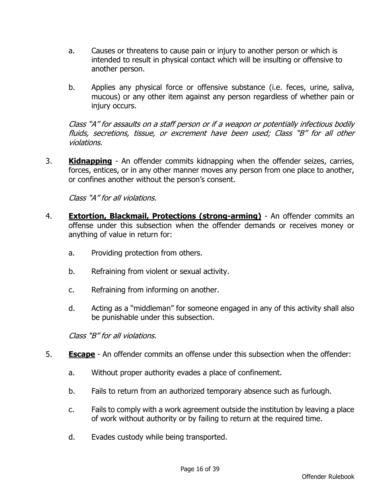- a. Causes or threatens to cause pain or injury to another person or which is intended to result in physical contact which will be insulting or offensive to another person.
- b. Applies any physical force or offensive substance (i.e. feces, urine, saliva, mucous) or any other item against any person regardless of whether pain or injury occurs.

Class "A" for assaults on a staff person or if a weapon or potentially infectious bodily fluids, secretions, tissue, or excrement have been used; Class "B" for all other violations.

3. **Kidnapping** - An offender commits kidnapping when the offender seizes, carries, forces, entices, or in any other manner moves any person from one place to another, or confines another without the person's consent.

Class "A" for all violations.

- 4. **Extortion, Blackmail, Protections (strong-arming)** An offender commits an offense under this subsection when the offender demands or receives money or anything of value in return for:
	- a. Providing protection from others.
	- b. Refraining from violent or sexual activity.
	- c. Refraining from informing on another.
	- d. Acting as a "middleman" for someone engaged in any of this activity shall also be punishable under this subsection.

Class "B" for all violations.

- 5. **Escape** An offender commits an offense under this subsection when the offender:
	- a. Without proper authority evades a place of confinement.
	- b. Fails to return from an authorized temporary absence such as furlough.
	- c. Fails to comply with a work agreement outside the institution by leaving a place of work without authority or by failing to return at the required time.
	- d. Evades custody while being transported.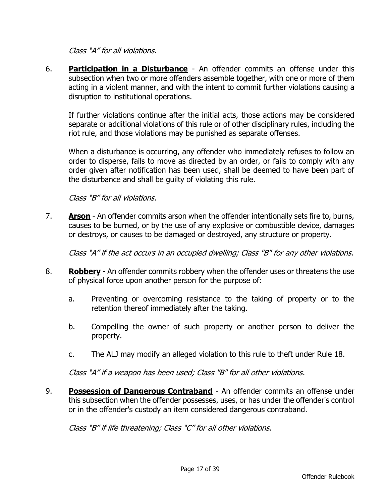Class "A" for all violations.

6. **Participation in a Disturbance** - An offender commits an offense under this subsection when two or more offenders assemble together, with one or more of them acting in a violent manner, and with the intent to commit further violations causing a disruption to institutional operations.

If further violations continue after the initial acts, those actions may be considered separate or additional violations of this rule or of other disciplinary rules, including the riot rule, and those violations may be punished as separate offenses.

When a disturbance is occurring, any offender who immediately refuses to follow an order to disperse, fails to move as directed by an order, or fails to comply with any order given after notification has been used, shall be deemed to have been part of the disturbance and shall be guilty of violating this rule.

Class "B" for all violations.

7. **Arson** - An offender commits arson when the offender intentionally sets fire to, burns, causes to be burned, or by the use of any explosive or combustible device, damages or destroys, or causes to be damaged or destroyed, any structure or property.

Class "A" if the act occurs in an occupied dwelling; Class "B" for any other violations.

- 8. **Robbery** An offender commits robbery when the offender uses or threatens the use of physical force upon another person for the purpose of:
	- a. Preventing or overcoming resistance to the taking of property or to the retention thereof immediately after the taking.
	- b. Compelling the owner of such property or another person to deliver the property.
	- c. The ALJ may modify an alleged violation to this rule to theft under Rule 18.

Class "A" if a weapon has been used; Class "B" for all other violations.

9. **Possession of Dangerous Contraband** - An offender commits an offense under this subsection when the offender possesses, uses, or has under the offender's control or in the offender's custody an item considered dangerous contraband.

Class "B" if life threatening; Class "C" for all other violations.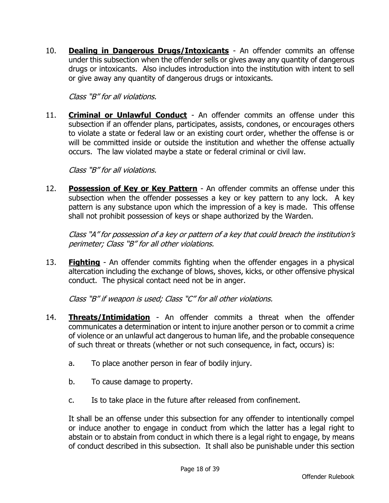10. **Dealing in Dangerous Drugs/Intoxicants** - An offender commits an offense under this subsection when the offender sells or gives away any quantity of dangerous drugs or intoxicants. Also includes introduction into the institution with intent to sell or give away any quantity of dangerous drugs or intoxicants.

Class "B" for all violations.

11. **Criminal or Unlawful Conduct** - An offender commits an offense under this subsection if an offender plans, participates, assists, condones, or encourages others to violate a state or federal law or an existing court order, whether the offense is or will be committed inside or outside the institution and whether the offense actually occurs. The law violated maybe a state or federal criminal or civil law.

Class "B" for all violations.

12. **Possession of Key or Key Pattern** - An offender commits an offense under this subsection when the offender possesses a key or key pattern to any lock. A key pattern is any substance upon which the impression of a key is made. This offense shall not prohibit possession of keys or shape authorized by the Warden.

Class "A" for possession of a key or pattern of a key that could breach the institution's perimeter; Class "B" for all other violations.

13. **Fighting** - An offender commits fighting when the offender engages in a physical altercation including the exchange of blows, shoves, kicks, or other offensive physical conduct. The physical contact need not be in anger.

Class "B" if weapon is used; Class "C" for all other violations.

- 14. **Threats/Intimidation** An offender commits a threat when the offender communicates a determination or intent to injure another person or to commit a crime of violence or an unlawful act dangerous to human life, and the probable consequence of such threat or threats (whether or not such consequence, in fact, occurs) is:
	- a. To place another person in fear of bodily injury.
	- b. To cause damage to property.
	- c. Is to take place in the future after released from confinement.

It shall be an offense under this subsection for any offender to intentionally compel or induce another to engage in conduct from which the latter has a legal right to abstain or to abstain from conduct in which there is a legal right to engage, by means of conduct described in this subsection. It shall also be punishable under this section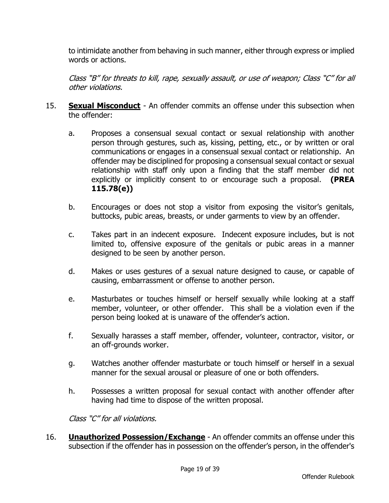to intimidate another from behaving in such manner, either through express or implied words or actions.

Class "B" for threats to kill, rape, sexually assault, or use of weapon; Class "C" for all other violations.

- 15. **Sexual Misconduct** An offender commits an offense under this subsection when the offender:
	- a. Proposes a consensual sexual contact or sexual relationship with another person through gestures, such as, kissing, petting, etc., or by written or oral communications or engages in a consensual sexual contact or relationship. An offender may be disciplined for proposing a consensual sexual contact or sexual relationship with staff only upon a finding that the staff member did not explicitly or implicitly consent to or encourage such a proposal. **(PREA 115.78(e))**
	- b. Encourages or does not stop a visitor from exposing the visitor's genitals, buttocks, pubic areas, breasts, or under garments to view by an offender.
	- c. Takes part in an indecent exposure. Indecent exposure includes, but is not limited to, offensive exposure of the genitals or pubic areas in a manner designed to be seen by another person.
	- d. Makes or uses gestures of a sexual nature designed to cause, or capable of causing, embarrassment or offense to another person.
	- e. Masturbates or touches himself or herself sexually while looking at a staff member, volunteer, or other offender. This shall be a violation even if the person being looked at is unaware of the offender's action.
	- f. Sexually harasses a staff member, offender, volunteer, contractor, visitor, or an off-grounds worker.
	- g. Watches another offender masturbate or touch himself or herself in a sexual manner for the sexual arousal or pleasure of one or both offenders.
	- h. Possesses a written proposal for sexual contact with another offender after having had time to dispose of the written proposal.

Class "C" for all violations.

16. **Unauthorized Possession/Exchange** - An offender commits an offense under this subsection if the offender has in possession on the offender's person, in the offender's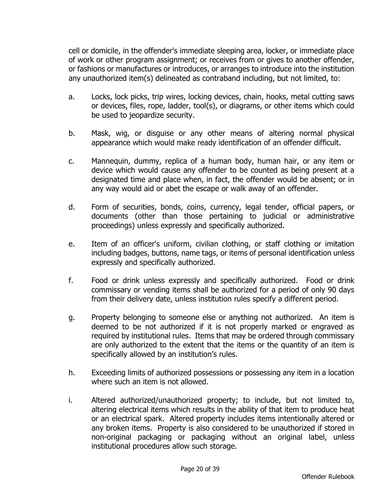cell or domicile, in the offender's immediate sleeping area, locker, or immediate place of work or other program assignment; or receives from or gives to another offender, or fashions or manufactures or introduces, or arranges to introduce into the institution any unauthorized item(s) delineated as contraband including, but not limited, to:

- a. Locks, lock picks, trip wires, locking devices, chain, hooks, metal cutting saws or devices, files, rope, ladder, tool(s), or diagrams, or other items which could be used to jeopardize security.
- b. Mask, wig, or disguise or any other means of altering normal physical appearance which would make ready identification of an offender difficult.
- c. Mannequin, dummy, replica of a human body, human hair, or any item or device which would cause any offender to be counted as being present at a designated time and place when, in fact, the offender would be absent; or in any way would aid or abet the escape or walk away of an offender.
- d. Form of securities, bonds, coins, currency, legal tender, official papers, or documents (other than those pertaining to judicial or administrative proceedings) unless expressly and specifically authorized.
- e. Item of an officer's uniform, civilian clothing, or staff clothing or imitation including badges, buttons, name tags, or items of personal identification unless expressly and specifically authorized.
- f. Food or drink unless expressly and specifically authorized. Food or drink commissary or vending items shall be authorized for a period of only 90 days from their delivery date, unless institution rules specify a different period.
- g. Property belonging to someone else or anything not authorized. An item is deemed to be not authorized if it is not properly marked or engraved as required by institutional rules. Items that may be ordered through commissary are only authorized to the extent that the items or the quantity of an item is specifically allowed by an institution's rules.
- h. Exceeding limits of authorized possessions or possessing any item in a location where such an item is not allowed.
- i. Altered authorized/unauthorized property; to include, but not limited to, altering electrical items which results in the ability of that item to produce heat or an electrical spark. Altered property includes items intentionally altered or any broken items. Property is also considered to be unauthorized if stored in non-original packaging or packaging without an original label, unless institutional procedures allow such storage.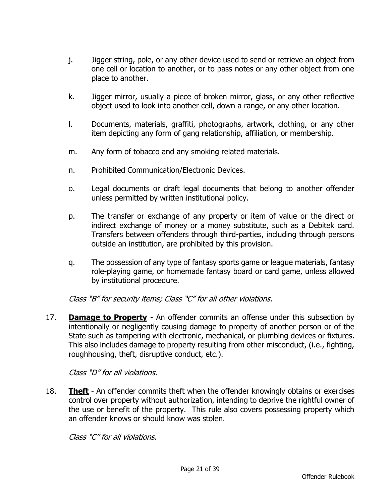- j. Jigger string, pole, or any other device used to send or retrieve an object from one cell or location to another, or to pass notes or any other object from one place to another.
- k. Jigger mirror, usually a piece of broken mirror, glass, or any other reflective object used to look into another cell, down a range, or any other location.
- l. Documents, materials, graffiti, photographs, artwork, clothing, or any other item depicting any form of gang relationship, affiliation, or membership.
- m. Any form of tobacco and any smoking related materials.
- n. Prohibited Communication/Electronic Devices.
- o. Legal documents or draft legal documents that belong to another offender unless permitted by written institutional policy.
- p. The transfer or exchange of any property or item of value or the direct or indirect exchange of money or a money substitute, such as a Debitek card. Transfers between offenders through third-parties, including through persons outside an institution, are prohibited by this provision.
- q. The possession of any type of fantasy sports game or league materials, fantasy role-playing game, or homemade fantasy board or card game, unless allowed by institutional procedure.

Class "B" for security items; Class "C" for all other violations.

17. **Damage to Property** - An offender commits an offense under this subsection by intentionally or negligently causing damage to property of another person or of the State such as tampering with electronic, mechanical, or plumbing devices or fixtures. This also includes damage to property resulting from other misconduct, (i.e., fighting, roughhousing, theft, disruptive conduct, etc.).

Class "D" for all violations.

18. **Theft** - An offender commits theft when the offender knowingly obtains or exercises control over property without authorization, intending to deprive the rightful owner of the use or benefit of the property. This rule also covers possessing property which an offender knows or should know was stolen.

Class "C" for all violations.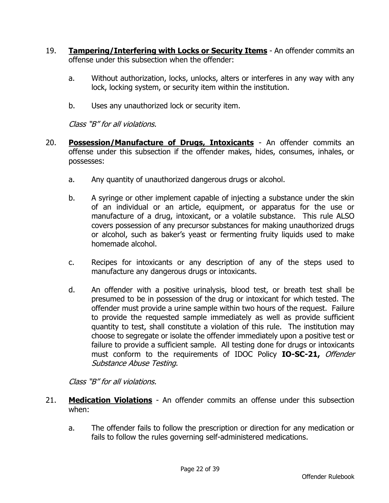- 19. **Tampering/Interfering with Locks or Security Items** An offender commits an offense under this subsection when the offender:
	- a. Without authorization, locks, unlocks, alters or interferes in any way with any lock, locking system, or security item within the institution.
	- b. Uses any unauthorized lock or security item.

Class "B" for all violations.

- 20. **Possession/Manufacture of Drugs, Intoxicants** An offender commits an offense under this subsection if the offender makes, hides, consumes, inhales, or possesses:
	- a. Any quantity of unauthorized dangerous drugs or alcohol.
	- b. A syringe or other implement capable of injecting a substance under the skin of an individual or an article, equipment, or apparatus for the use or manufacture of a drug, intoxicant, or a volatile substance. This rule ALSO covers possession of any precursor substances for making unauthorized drugs or alcohol, such as baker's yeast or fermenting fruity liquids used to make homemade alcohol.
	- c. Recipes for intoxicants or any description of any of the steps used to manufacture any dangerous drugs or intoxicants.
	- d. An offender with a positive urinalysis, blood test, or breath test shall be presumed to be in possession of the drug or intoxicant for which tested. The offender must provide a urine sample within two hours of the request. Failure to provide the requested sample immediately as well as provide sufficient quantity to test, shall constitute a violation of this rule. The institution may choose to segregate or isolate the offender immediately upon a positive test or failure to provide a sufficient sample. All testing done for drugs or intoxicants must conform to the requirements of IDOC Policy **IO-SC-21,** Offender Substance Abuse Testing.

Class "B" for all violations.

- 21. **Medication Violations** An offender commits an offense under this subsection when:
	- a. The offender fails to follow the prescription or direction for any medication or fails to follow the rules governing self-administered medications.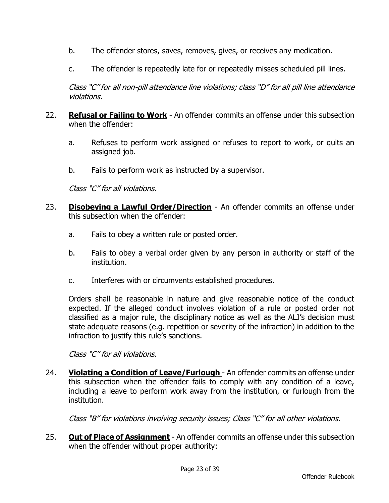- b. The offender stores, saves, removes, gives, or receives any medication.
- c. The offender is repeatedly late for or repeatedly misses scheduled pill lines.

Class "C" for all non-pill attendance line violations; class "D" for all pill line attendance violations.

- 22. **Refusal or Failing to Work** An offender commits an offense under this subsection when the offender:
	- a. Refuses to perform work assigned or refuses to report to work, or quits an assigned job.
	- b. Fails to perform work as instructed by a supervisor.

Class "C" for all violations.

- 23. **Disobeying a Lawful Order/Direction** An offender commits an offense under this subsection when the offender:
	- a. Fails to obey a written rule or posted order.
	- b. Fails to obey a verbal order given by any person in authority or staff of the institution.
	- c. Interferes with or circumvents established procedures.

Orders shall be reasonable in nature and give reasonable notice of the conduct expected. If the alleged conduct involves violation of a rule or posted order not classified as a major rule, the disciplinary notice as well as the ALJ's decision must state adequate reasons (e.g. repetition or severity of the infraction) in addition to the infraction to justify this rule's sanctions.

Class "C" for all violations.

24. **Violating a Condition of Leave/Furlough** - An offender commits an offense under this subsection when the offender fails to comply with any condition of a leave, including a leave to perform work away from the institution, or furlough from the institution.

Class "B" for violations involving security issues; Class "C" for all other violations.

25. **Out of Place of Assignment** - An offender commits an offense under this subsection when the offender without proper authority: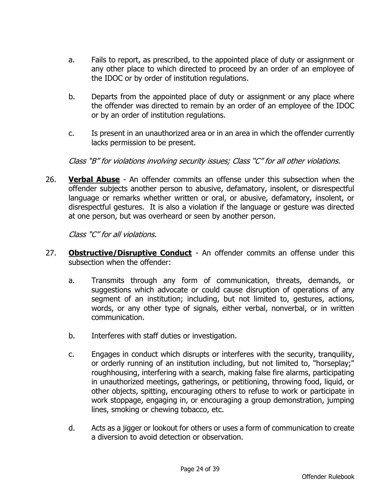- a. Fails to report, as prescribed, to the appointed place of duty or assignment or any other place to which directed to proceed by an order of an employee of the IDOC or by order of institution regulations.
- b. Departs from the appointed place of duty or assignment or any place where the offender was directed to remain by an order of an employee of the IDOC or by an order of institution regulations.
- c. Is present in an unauthorized area or in an area in which the offender currently lacks permission to be present.

Class "B" for violations involving security issues; Class "C" for all other violations.

26. **Verbal Abuse** - An offender commits an offense under this subsection when the offender subjects another person to abusive, defamatory, insolent, or disrespectful language or remarks whether written or oral, or abusive, defamatory, insolent, or disrespectful gestures. It is also a violation if the language or gesture was directed at one person, but was overheard or seen by another person.

Class "C" for all violations.

- 27. **Obstructive/Disruptive Conduct** An offender commits an offense under this subsection when the offender:
	- a. Transmits through any form of communication, threats, demands, or suggestions which advocate or could cause disruption of operations of any segment of an institution; including, but not limited to, gestures, actions, words, or any other type of signals, either verbal, nonverbal, or in written communication.
	- b. Interferes with staff duties or investigation.
	- c. Engages in conduct which disrupts or interferes with the security, tranquility, or orderly running of an institution including, but not limited to, "horseplay;" roughhousing, interfering with a search, making false fire alarms, participating in unauthorized meetings, gatherings, or petitioning, throwing food, liquid, or other objects, spitting, encouraging others to refuse to work or participate in work stoppage, engaging in, or encouraging a group demonstration, jumping lines, smoking or chewing tobacco, etc.
	- d. Acts as a jigger or lookout for others or uses a form of communication to create a diversion to avoid detection or observation.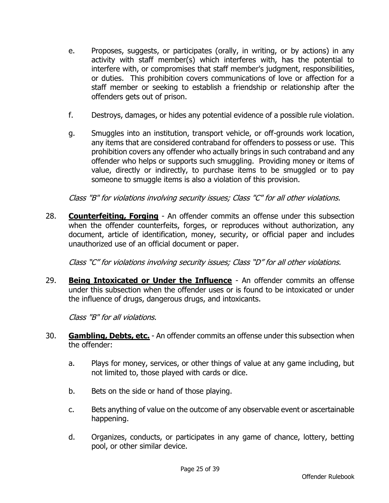- e. Proposes, suggests, or participates (orally, in writing, or by actions) in any activity with staff member(s) which interferes with, has the potential to interfere with, or compromises that staff member's judgment, responsibilities, or duties. This prohibition covers communications of love or affection for a staff member or seeking to establish a friendship or relationship after the offenders gets out of prison.
- f. Destroys, damages, or hides any potential evidence of a possible rule violation.
- g. Smuggles into an institution, transport vehicle, or off-grounds work location, any items that are considered contraband for offenders to possess or use. This prohibition covers any offender who actually brings in such contraband and any offender who helps or supports such smuggling. Providing money or items of value, directly or indirectly, to purchase items to be smuggled or to pay someone to smuggle items is also a violation of this provision.

Class "B" for violations involving security issues; Class "C" for all other violations.

28. **Counterfeiting, Forging** - An offender commits an offense under this subsection when the offender counterfeits, forges, or reproduces without authorization, any document, article of identification, money, security, or official paper and includes unauthorized use of an official document or paper.

Class "C" for violations involving security issues; Class "D" for all other violations.

29. **Being Intoxicated or Under the Influence** - An offender commits an offense under this subsection when the offender uses or is found to be intoxicated or under the influence of drugs, dangerous drugs, and intoxicants.

Class "B" for all violations.

- 30. **Gambling, Debts, etc.** An offender commits an offense under this subsection when the offender:
	- a. Plays for money, services, or other things of value at any game including, but not limited to, those played with cards or dice.
	- b. Bets on the side or hand of those playing.
	- c. Bets anything of value on the outcome of any observable event or ascertainable happening.
	- d. Organizes, conducts, or participates in any game of chance, lottery, betting pool, or other similar device.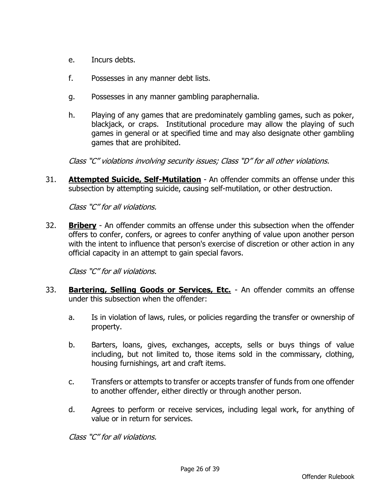- e. Incurs debts.
- f. Possesses in any manner debt lists.
- g. Possesses in any manner gambling paraphernalia.
- h. Playing of any games that are predominately gambling games, such as poker, blackjack, or craps. Institutional procedure may allow the playing of such games in general or at specified time and may also designate other gambling games that are prohibited.

Class "C" violations involving security issues; Class "D" for all other violations.

31. **Attempted Suicide, Self-Mutilation** - An offender commits an offense under this subsection by attempting suicide, causing self-mutilation, or other destruction.

Class "C" for all violations.

32. **Bribery** - An offender commits an offense under this subsection when the offender offers to confer, confers, or agrees to confer anything of value upon another person with the intent to influence that person's exercise of discretion or other action in any official capacity in an attempt to gain special favors.

Class "C" for all violations.

- 33. **Bartering, Selling Goods or Services, Etc.** An offender commits an offense under this subsection when the offender:
	- a. Is in violation of laws, rules, or policies regarding the transfer or ownership of property.
	- b. Barters, loans, gives, exchanges, accepts, sells or buys things of value including, but not limited to, those items sold in the commissary, clothing, housing furnishings, art and craft items.
	- c. Transfers or attempts to transfer or accepts transfer of funds from one offender to another offender, either directly or through another person.
	- d. Agrees to perform or receive services, including legal work, for anything of value or in return for services.

Class "C" for all violations.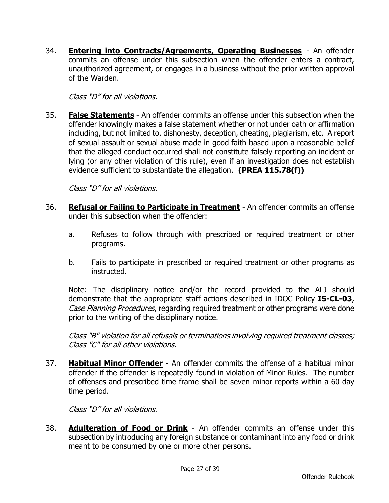34. **Entering into Contracts/Agreements, Operating Businesses** - An offender commits an offense under this subsection when the offender enters a contract, unauthorized agreement, or engages in a business without the prior written approval of the Warden.

Class "D" for all violations.

35. **False Statements** - An offender commits an offense under this subsection when the offender knowingly makes a false statement whether or not under oath or affirmation including, but not limited to, dishonesty, deception, cheating, plagiarism, etc. A report of sexual assault or sexual abuse made in good faith based upon a reasonable belief that the alleged conduct occurred shall not constitute falsely reporting an incident or lying (or any other violation of this rule), even if an investigation does not establish evidence sufficient to substantiate the allegation. **(PREA 115.78(f))**

Class "D" for all violations.

- 36. **Refusal or Failing to Participate in Treatment** An offender commits an offense under this subsection when the offender:
	- a. Refuses to follow through with prescribed or required treatment or other programs.
	- b. Fails to participate in prescribed or required treatment or other programs as instructed.

Note: The disciplinary notice and/or the record provided to the ALJ should demonstrate that the appropriate staff actions described in IDOC Policy **IS-CL-03**, Case Planning Procedures, regarding required treatment or other programs were done prior to the writing of the disciplinary notice.

Class "B" violation for all refusals or terminations involving required treatment classes; Class "C" for all other violations.

37. **Habitual Minor Offender** - An offender commits the offense of a habitual minor offender if the offender is repeatedly found in violation of Minor Rules. The number of offenses and prescribed time frame shall be seven minor reports within a 60 day time period.

Class "D" for all violations.

38. **Adulteration of Food or Drink** - An offender commits an offense under this subsection by introducing any foreign substance or contaminant into any food or drink meant to be consumed by one or more other persons.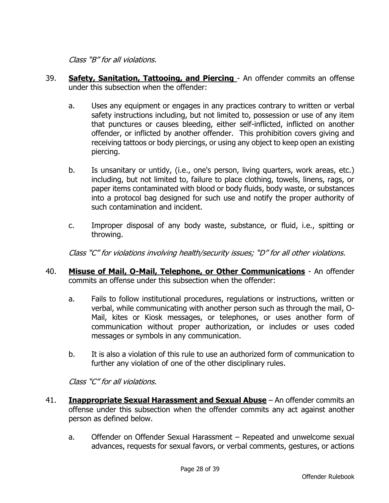Class "B" for all violations.

- 39. **Safety, Sanitation, Tattooing, and Piercing**  An offender commits an offense under this subsection when the offender:
	- a. Uses any equipment or engages in any practices contrary to written or verbal safety instructions including, but not limited to, possession or use of any item that punctures or causes bleeding, either self-inflicted, inflicted on another offender, or inflicted by another offender. This prohibition covers giving and receiving tattoos or body piercings, or using any object to keep open an existing piercing.
	- b. Is unsanitary or untidy, (i.e., one's person, living quarters, work areas, etc.) including, but not limited to, failure to place clothing, towels, linens, rags, or paper items contaminated with blood or body fluids, body waste, or substances into a protocol bag designed for such use and notify the proper authority of such contamination and incident.
	- c. Improper disposal of any body waste, substance, or fluid, i.e., spitting or throwing.

Class "C" for violations involving health/security issues; "D" for all other violations.

- 40. **Misuse of Mail, O-Mail, Telephone, or Other Communications** An offender commits an offense under this subsection when the offender:
	- a. Fails to follow institutional procedures, regulations or instructions, written or verbal, while communicating with another person such as through the mail, O-Mail, kites or Kiosk messages, or telephones, or uses another form of communication without proper authorization, or includes or uses coded messages or symbols in any communication.
	- b. It is also a violation of this rule to use an authorized form of communication to further any violation of one of the other disciplinary rules.

Class "C" for all violations.

- 41. **Inappropriate Sexual Harassment and Sexual Abuse** An offender commits an offense under this subsection when the offender commits any act against another person as defined below.
	- a. Offender on Offender Sexual Harassment Repeated and unwelcome sexual advances, requests for sexual favors, or verbal comments, gestures, or actions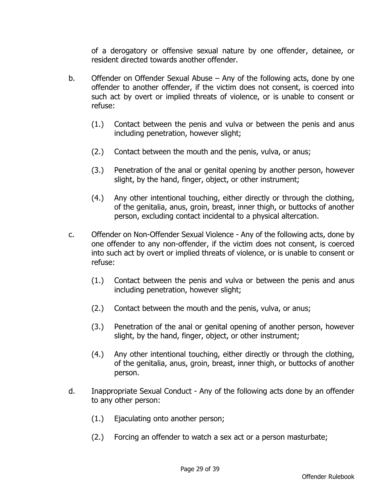of a derogatory or offensive sexual nature by one offender, detainee, or resident directed towards another offender.

- b. Offender on Offender Sexual Abuse Any of the following acts, done by one offender to another offender, if the victim does not consent, is coerced into such act by overt or implied threats of violence, or is unable to consent or refuse:
	- (1.) Contact between the penis and vulva or between the penis and anus including penetration, however slight;
	- (2.) Contact between the mouth and the penis, vulva, or anus;
	- (3.) Penetration of the anal or genital opening by another person, however slight, by the hand, finger, object, or other instrument;
	- (4.) Any other intentional touching, either directly or through the clothing, of the genitalia, anus, groin, breast, inner thigh, or buttocks of another person, excluding contact incidental to a physical altercation.
- c. Offender on Non-Offender Sexual Violence Any of the following acts, done by one offender to any non-offender, if the victim does not consent, is coerced into such act by overt or implied threats of violence, or is unable to consent or refuse:
	- (1.) Contact between the penis and vulva or between the penis and anus including penetration, however slight;
	- (2.) Contact between the mouth and the penis, vulva, or anus;
	- (3.) Penetration of the anal or genital opening of another person, however slight, by the hand, finger, object, or other instrument;
	- (4.) Any other intentional touching, either directly or through the clothing, of the genitalia, anus, groin, breast, inner thigh, or buttocks of another person.
- d. Inappropriate Sexual Conduct Any of the following acts done by an offender to any other person:
	- (1.) Ejaculating onto another person;
	- (2.) Forcing an offender to watch a sex act or a person masturbate;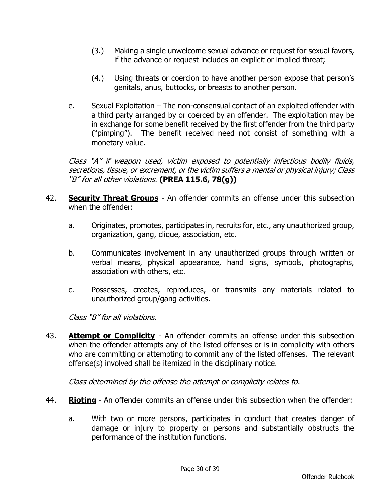- (3.) Making a single unwelcome sexual advance or request for sexual favors, if the advance or request includes an explicit or implied threat;
- (4.) Using threats or coercion to have another person expose that person's genitals, anus, buttocks, or breasts to another person.
- e. Sexual Exploitation The non-consensual contact of an exploited offender with a third party arranged by or coerced by an offender. The exploitation may be in exchange for some benefit received by the first offender from the third party ("pimping"). The benefit received need not consist of something with a monetary value.

Class "A" if weapon used, victim exposed to potentially infectious bodily fluids, secretions, tissue, or excrement, or the victim suffers a mental or physical injury; Class "B" for all other violations. **(PREA 115.6, 78(g))**

- 42. **Security Threat Groups** An offender commits an offense under this subsection when the offender:
	- a. Originates, promotes, participates in, recruits for, etc., any unauthorized group, organization, gang, clique, association, etc.
	- b. Communicates involvement in any unauthorized groups through written or verbal means, physical appearance, hand signs, symbols, photographs, association with others, etc.
	- c. Possesses, creates, reproduces, or transmits any materials related to unauthorized group/gang activities.

Class "B" for all violations.

43. **Attempt or Complicity** - An offender commits an offense under this subsection when the offender attempts any of the listed offenses or is in complicity with others who are committing or attempting to commit any of the listed offenses. The relevant offense(s) involved shall be itemized in the disciplinary notice.

Class determined by the offense the attempt or complicity relates to.

- 44. **Rioting** An offender commits an offense under this subsection when the offender:
	- a. With two or more persons, participates in conduct that creates danger of damage or injury to property or persons and substantially obstructs the performance of the institution functions.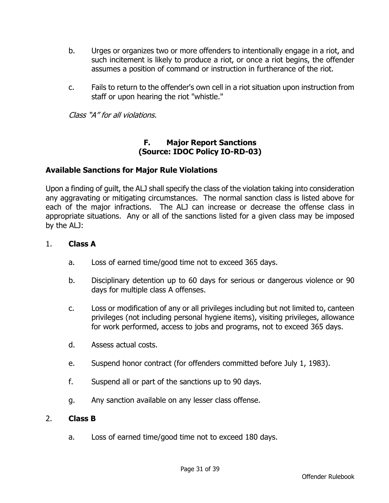- b. Urges or organizes two or more offenders to intentionally engage in a riot, and such incitement is likely to produce a riot, or once a riot begins, the offender assumes a position of command or instruction in furtherance of the riot.
- c. Fails to return to the offender's own cell in a riot situation upon instruction from staff or upon hearing the riot "whistle."

Class "A" for all violations.

#### **F. Major Report Sanctions (Source: IDOC Policy IO-RD-03)**

#### **Available Sanctions for Major Rule Violations**

Upon a finding of guilt, the ALJ shall specify the class of the violation taking into consideration any aggravating or mitigating circumstances. The normal sanction class is listed above for each of the major infractions. The ALJ can increase or decrease the offense class in appropriate situations. Any or all of the sanctions listed for a given class may be imposed by the ALJ:

#### 1. **Class A**

- a. Loss of earned time/good time not to exceed 365 days.
- b. Disciplinary detention up to 60 days for serious or dangerous violence or 90 days for multiple class A offenses.
- c. Loss or modification of any or all privileges including but not limited to, canteen privileges (not including personal hygiene items), visiting privileges, allowance for work performed, access to jobs and programs, not to exceed 365 days.
- d. Assess actual costs.
- e. Suspend honor contract (for offenders committed before July 1, 1983).
- f. Suspend all or part of the sanctions up to 90 days.
- g. Any sanction available on any lesser class offense.

#### 2. **Class B**

a. Loss of earned time/good time not to exceed 180 days.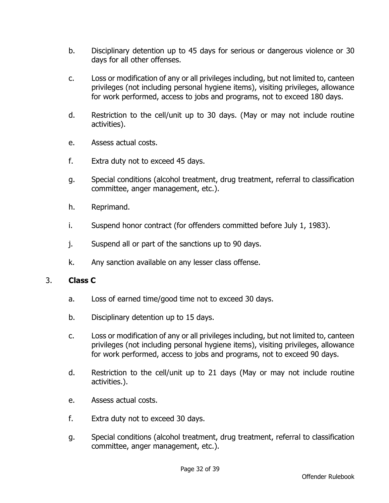- b. Disciplinary detention up to 45 days for serious or dangerous violence or 30 days for all other offenses.
- c. Loss or modification of any or all privileges including, but not limited to, canteen privileges (not including personal hygiene items), visiting privileges, allowance for work performed, access to jobs and programs, not to exceed 180 days.
- d. Restriction to the cell/unit up to 30 days. (May or may not include routine activities).
- e. Assess actual costs.
- f. Extra duty not to exceed 45 days.
- g. Special conditions (alcohol treatment, drug treatment, referral to classification committee, anger management, etc.).
- h. Reprimand.
- i. Suspend honor contract (for offenders committed before July 1, 1983).
- j. Suspend all or part of the sanctions up to 90 days.
- k. Any sanction available on any lesser class offense.

#### 3. **Class C**

- a. Loss of earned time/good time not to exceed 30 days.
- b. Disciplinary detention up to 15 days.
- c. Loss or modification of any or all privileges including, but not limited to, canteen privileges (not including personal hygiene items), visiting privileges, allowance for work performed, access to jobs and programs, not to exceed 90 days.
- d. Restriction to the cell/unit up to 21 days (May or may not include routine activities.).
- e. Assess actual costs.
- f. Extra duty not to exceed 30 days.
- g. Special conditions (alcohol treatment, drug treatment, referral to classification committee, anger management, etc.).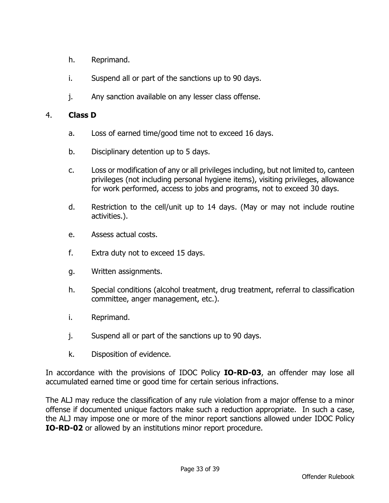- h. Reprimand.
- i. Suspend all or part of the sanctions up to 90 days.
- j. Any sanction available on any lesser class offense.

## 4. **Class D**

- a. Loss of earned time/good time not to exceed 16 days.
- b. Disciplinary detention up to 5 days.
- c. Loss or modification of any or all privileges including, but not limited to, canteen privileges (not including personal hygiene items), visiting privileges, allowance for work performed, access to jobs and programs, not to exceed 30 days.
- d. Restriction to the cell/unit up to 14 days. (May or may not include routine activities.).
- e. Assess actual costs.
- f. Extra duty not to exceed 15 days.
- g. Written assignments.
- h. Special conditions (alcohol treatment, drug treatment, referral to classification committee, anger management, etc.).
- i. Reprimand.
- j. Suspend all or part of the sanctions up to 90 days.
- k. Disposition of evidence.

In accordance with the provisions of IDOC Policy **IO-RD-03**, an offender may lose all accumulated earned time or good time for certain serious infractions.

The ALJ may reduce the classification of any rule violation from a major offense to a minor offense if documented unique factors make such a reduction appropriate. In such a case, the ALJ may impose one or more of the minor report sanctions allowed under IDOC Policy **IO-RD-02** or allowed by an institutions minor report procedure.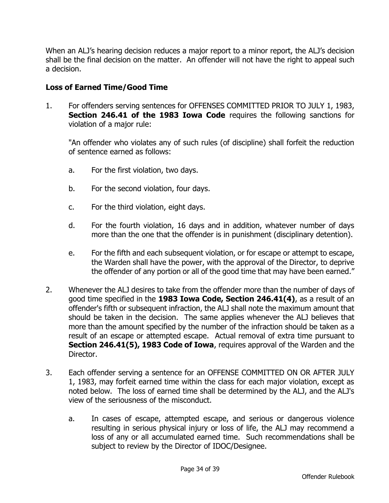When an ALJ's hearing decision reduces a major report to a minor report, the ALJ's decision shall be the final decision on the matter. An offender will not have the right to appeal such a decision.

## **Loss of Earned Time/Good Time**

1. For offenders serving sentences for OFFENSES COMMITTED PRIOR TO JULY 1, 1983, **Section 246.41 of the 1983 Iowa Code** requires the following sanctions for violation of a major rule:

"An offender who violates any of such rules (of discipline) shall forfeit the reduction of sentence earned as follows:

- a. For the first violation, two days.
- b. For the second violation, four days.
- c. For the third violation, eight days.
- d. For the fourth violation, 16 days and in addition, whatever number of days more than the one that the offender is in punishment (disciplinary detention).
- e. For the fifth and each subsequent violation, or for escape or attempt to escape, the Warden shall have the power, with the approval of the Director, to deprive the offender of any portion or all of the good time that may have been earned."
- 2. Whenever the ALJ desires to take from the offender more than the number of days of good time specified in the **1983 Iowa Code, Section 246.41(4)**, as a result of an offender's fifth or subsequent infraction, the ALJ shall note the maximum amount that should be taken in the decision. The same applies whenever the ALJ believes that more than the amount specified by the number of the infraction should be taken as a result of an escape or attempted escape. Actual removal of extra time pursuant to **Section 246.41(5), 1983 Code of Iowa**, requires approval of the Warden and the Director.
- 3. Each offender serving a sentence for an OFFENSE COMMITTED ON OR AFTER JULY 1, 1983, may forfeit earned time within the class for each major violation, except as noted below. The loss of earned time shall be determined by the ALJ, and the ALJ's view of the seriousness of the misconduct.
	- a. In cases of escape, attempted escape, and serious or dangerous violence resulting in serious physical injury or loss of life, the ALJ may recommend a loss of any or all accumulated earned time. Such recommendations shall be subject to review by the Director of IDOC/Designee.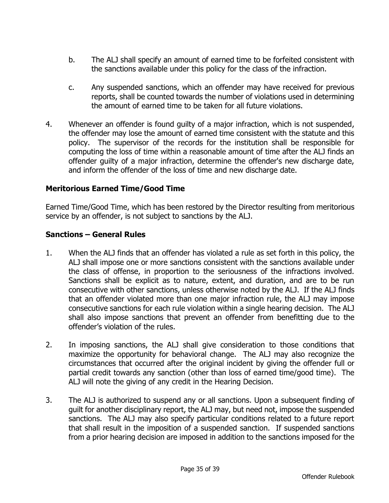- b. The ALJ shall specify an amount of earned time to be forfeited consistent with the sanctions available under this policy for the class of the infraction.
- c. Any suspended sanctions, which an offender may have received for previous reports, shall be counted towards the number of violations used in determining the amount of earned time to be taken for all future violations.
- 4. Whenever an offender is found guilty of a major infraction, which is not suspended, the offender may lose the amount of earned time consistent with the statute and this policy. The supervisor of the records for the institution shall be responsible for computing the loss of time within a reasonable amount of time after the ALJ finds an offender guilty of a major infraction, determine the offender's new discharge date, and inform the offender of the loss of time and new discharge date.

#### **Meritorious Earned Time/Good Time**

Earned Time/Good Time, which has been restored by the Director resulting from meritorious service by an offender, is not subject to sanctions by the ALJ.

#### **Sanctions – General Rules**

- 1. When the ALJ finds that an offender has violated a rule as set forth in this policy, the ALJ shall impose one or more sanctions consistent with the sanctions available under the class of offense, in proportion to the seriousness of the infractions involved. Sanctions shall be explicit as to nature, extent, and duration, and are to be run consecutive with other sanctions, unless otherwise noted by the ALJ. If the ALJ finds that an offender violated more than one major infraction rule, the ALJ may impose consecutive sanctions for each rule violation within a single hearing decision. The ALJ shall also impose sanctions that prevent an offender from benefitting due to the offender's violation of the rules.
- 2. In imposing sanctions, the ALJ shall give consideration to those conditions that maximize the opportunity for behavioral change. The ALJ may also recognize the circumstances that occurred after the original incident by giving the offender full or partial credit towards any sanction (other than loss of earned time/good time). The ALJ will note the giving of any credit in the Hearing Decision.
- 3. The ALJ is authorized to suspend any or all sanctions. Upon a subsequent finding of guilt for another disciplinary report, the ALJ may, but need not, impose the suspended sanctions. The ALJ may also specify particular conditions related to a future report that shall result in the imposition of a suspended sanction. If suspended sanctions from a prior hearing decision are imposed in addition to the sanctions imposed for the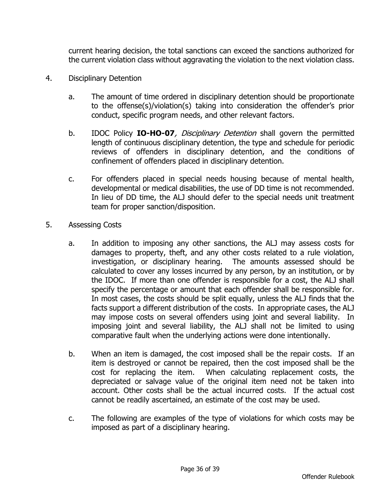current hearing decision, the total sanctions can exceed the sanctions authorized for the current violation class without aggravating the violation to the next violation class.

- 4. Disciplinary Detention
	- a. The amount of time ordered in disciplinary detention should be proportionate to the offense(s)/violation(s) taking into consideration the offender's prior conduct, specific program needs, and other relevant factors.
	- b. IDOC Policy **IO-HO-07**, Disciplinary Detention shall govern the permitted length of continuous disciplinary detention, the type and schedule for periodic reviews of offenders in disciplinary detention, and the conditions of confinement of offenders placed in disciplinary detention.
	- c. For offenders placed in special needs housing because of mental health, developmental or medical disabilities, the use of DD time is not recommended. In lieu of DD time, the ALJ should defer to the special needs unit treatment team for proper sanction/disposition.
- 5. Assessing Costs
	- a. In addition to imposing any other sanctions, the ALJ may assess costs for damages to property, theft, and any other costs related to a rule violation, investigation, or disciplinary hearing. The amounts assessed should be calculated to cover any losses incurred by any person, by an institution, or by the IDOC. If more than one offender is responsible for a cost, the ALJ shall specify the percentage or amount that each offender shall be responsible for. In most cases, the costs should be split equally, unless the ALJ finds that the facts support a different distribution of the costs. In appropriate cases, the ALJ may impose costs on several offenders using joint and several liability. In imposing joint and several liability, the ALJ shall not be limited to using comparative fault when the underlying actions were done intentionally.
	- b. When an item is damaged, the cost imposed shall be the repair costs. If an item is destroyed or cannot be repaired, then the cost imposed shall be the cost for replacing the item. When calculating replacement costs, the depreciated or salvage value of the original item need not be taken into account. Other costs shall be the actual incurred costs. If the actual cost cannot be readily ascertained, an estimate of the cost may be used.
	- c. The following are examples of the type of violations for which costs may be imposed as part of a disciplinary hearing.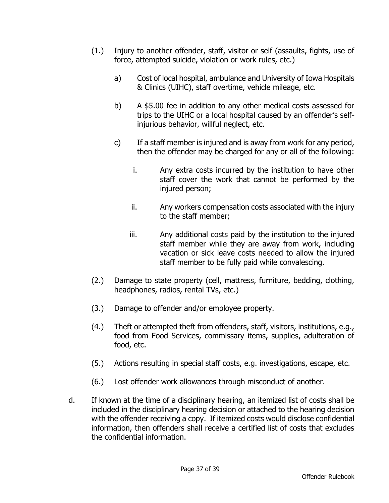- (1.) Injury to another offender, staff, visitor or self (assaults, fights, use of force, attempted suicide, violation or work rules, etc.)
	- a) Cost of local hospital, ambulance and University of Iowa Hospitals & Clinics (UIHC), staff overtime, vehicle mileage, etc.
	- b) A \$5.00 fee in addition to any other medical costs assessed for trips to the UIHC or a local hospital caused by an offender's selfinjurious behavior, willful neglect, etc.
	- c) If a staff member is injured and is away from work for any period, then the offender may be charged for any or all of the following:
		- i. Any extra costs incurred by the institution to have other staff cover the work that cannot be performed by the injured person;
		- ii. Any workers compensation costs associated with the injury to the staff member;
		- iii. Any additional costs paid by the institution to the injured staff member while they are away from work, including vacation or sick leave costs needed to allow the injured staff member to be fully paid while convalescing.
- (2.) Damage to state property (cell, mattress, furniture, bedding, clothing, headphones, radios, rental TVs, etc.)
- (3.) Damage to offender and/or employee property.
- (4.) Theft or attempted theft from offenders, staff, visitors, institutions, e.g., food from Food Services, commissary items, supplies, adulteration of food, etc.
- (5.) Actions resulting in special staff costs, e.g. investigations, escape, etc.
- (6.) Lost offender work allowances through misconduct of another.
- d. If known at the time of a disciplinary hearing, an itemized list of costs shall be included in the disciplinary hearing decision or attached to the hearing decision with the offender receiving a copy. If itemized costs would disclose confidential information, then offenders shall receive a certified list of costs that excludes the confidential information.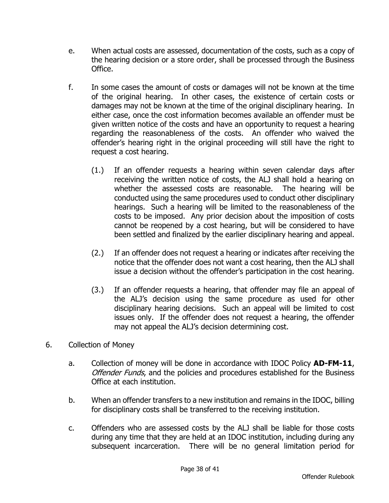- e. When actual costs are assessed, documentation of the costs, such as a copy of the hearing decision or a store order, shall be processed through the Business Office.
- f. In some cases the amount of costs or damages will not be known at the time of the original hearing. In other cases, the existence of certain costs or damages may not be known at the time of the original disciplinary hearing. In either case, once the cost information becomes available an offender must be given written notice of the costs and have an opportunity to request a hearing regarding the reasonableness of the costs. An offender who waived the offender's hearing right in the original proceeding will still have the right to request a cost hearing.
	- (1.) If an offender requests a hearing within seven calendar days after receiving the written notice of costs, the ALJ shall hold a hearing on whether the assessed costs are reasonable. The hearing will be conducted using the same procedures used to conduct other disciplinary hearings. Such a hearing will be limited to the reasonableness of the costs to be imposed. Any prior decision about the imposition of costs cannot be reopened by a cost hearing, but will be considered to have been settled and finalized by the earlier disciplinary hearing and appeal.
	- (2.) If an offender does not request a hearing or indicates after receiving the notice that the offender does not want a cost hearing, then the ALJ shall issue a decision without the offender's participation in the cost hearing.
	- (3.) If an offender requests a hearing, that offender may file an appeal of the ALJ's decision using the same procedure as used for other disciplinary hearing decisions. Such an appeal will be limited to cost issues only. If the offender does not request a hearing, the offender may not appeal the ALJ's decision determining cost.
- 6. Collection of Money
	- a. Collection of money will be done in accordance with IDOC Policy **AD-FM-11**, Offender Funds, and the policies and procedures established for the Business Office at each institution.
	- b. When an offender transfers to a new institution and remains in the IDOC, billing for disciplinary costs shall be transferred to the receiving institution.
	- c. Offenders who are assessed costs by the ALJ shall be liable for those costs during any time that they are held at an IDOC institution, including during any subsequent incarceration. There will be no general limitation period for